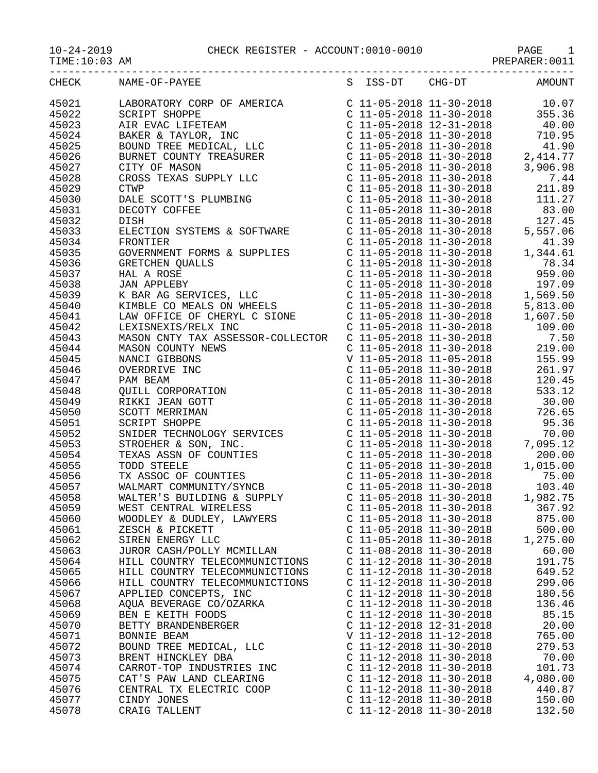10-24-2019<br>TIME:10:03 AM CHECK REGISTER - ACCOUNT:0010-0010

-----------------------------------------------------------------------------------

| $10 - 24 - 2019$ |
|------------------|
|------------------|

PAGE 1<br>PREPARER:0011

| CHECK | NAME-OF-PAYEE                                                                                                                                                                                                                                  | S ISS-DT                  | $CHG-DT$                                                                                                      | AMOUNT                                                                                                                                                                                  |
|-------|------------------------------------------------------------------------------------------------------------------------------------------------------------------------------------------------------------------------------------------------|---------------------------|---------------------------------------------------------------------------------------------------------------|-----------------------------------------------------------------------------------------------------------------------------------------------------------------------------------------|
| 45021 |                                                                                                                                                                                                                                                |                           |                                                                                                               | $\begin{array}{llll} \mbox{C} & 11\hbox{-}05\hbox{-}2018 & 11\hbox{-}30\hbox{-}2018 & & 10.07 \\ \mbox{C} & 11\hbox{-}05\hbox{-}2018 & 11\hbox{-}30\hbox{-}2018 & & 355.36 \end{array}$ |
| 45022 |                                                                                                                                                                                                                                                |                           |                                                                                                               |                                                                                                                                                                                         |
| 45023 |                                                                                                                                                                                                                                                |                           |                                                                                                               |                                                                                                                                                                                         |
| 45024 |                                                                                                                                                                                                                                                |                           |                                                                                                               |                                                                                                                                                                                         |
| 45025 |                                                                                                                                                                                                                                                |                           |                                                                                                               |                                                                                                                                                                                         |
| 45026 |                                                                                                                                                                                                                                                |                           |                                                                                                               |                                                                                                                                                                                         |
| 45027 |                                                                                                                                                                                                                                                |                           |                                                                                                               |                                                                                                                                                                                         |
| 45028 |                                                                                                                                                                                                                                                |                           |                                                                                                               |                                                                                                                                                                                         |
| 45029 |                                                                                                                                                                                                                                                |                           |                                                                                                               |                                                                                                                                                                                         |
| 45030 |                                                                                                                                                                                                                                                |                           |                                                                                                               |                                                                                                                                                                                         |
| 45031 |                                                                                                                                                                                                                                                |                           |                                                                                                               | C 11-05-2018 11-30-2018 11.27<br>C 11-05-2018 11-30-2018 83.00<br>C 11-05-2018 11-30-2018 127.45<br>C 11-05-2018 11-30-2018 5,557.06                                                    |
|       |                                                                                                                                                                                                                                                |                           |                                                                                                               |                                                                                                                                                                                         |
| 45032 |                                                                                                                                                                                                                                                |                           |                                                                                                               |                                                                                                                                                                                         |
| 45033 |                                                                                                                                                                                                                                                |                           |                                                                                                               |                                                                                                                                                                                         |
| 45034 |                                                                                                                                                                                                                                                |                           |                                                                                                               |                                                                                                                                                                                         |
| 45035 | GOVERNMENT FORMS & SUPPLIES                                                                                                                                                                                                                    |                           | $\begin{array}{lll} \text{C} & 11-05-2018 & 11-30-2018 \\ \text{C} & 11-05-2018 & 11-30-2018 & 1 \end{array}$ | 1,344.61                                                                                                                                                                                |
| 45036 |                                                                                                                                                                                                                                                |                           |                                                                                                               |                                                                                                                                                                                         |
| 45037 |                                                                                                                                                                                                                                                |                           |                                                                                                               |                                                                                                                                                                                         |
| 45038 |                                                                                                                                                                                                                                                |                           |                                                                                                               |                                                                                                                                                                                         |
| 45039 |                                                                                                                                                                                                                                                |                           |                                                                                                               |                                                                                                                                                                                         |
| 45040 |                                                                                                                                                                                                                                                |                           |                                                                                                               |                                                                                                                                                                                         |
| 45041 |                                                                                                                                                                                                                                                |                           |                                                                                                               | 1,607.50                                                                                                                                                                                |
| 45042 |                                                                                                                                                                                                                                                |                           |                                                                                                               |                                                                                                                                                                                         |
| 45043 | GOVERNMENT FORMS & SOPPLIES<br>C 11-05-2018 11-30-2018<br>C 11-05-2018 11-30-2018<br>C 11-05-2018 11-30-2018<br>C 11-05-2018 11-30-2018<br>SPAR AG SERVICES, LLC<br>C 11-05-2018 11-30-2018<br>C 11-05-2018 11-30-2018<br>C 11-05-2018 11-30-2 |                           |                                                                                                               |                                                                                                                                                                                         |
| 45044 |                                                                                                                                                                                                                                                |                           |                                                                                                               | $C$ 11-05-2018 11-30-2018 219.00                                                                                                                                                        |
| 45045 |                                                                                                                                                                                                                                                |                           |                                                                                                               |                                                                                                                                                                                         |
| 45046 |                                                                                                                                                                                                                                                |                           |                                                                                                               |                                                                                                                                                                                         |
| 45047 |                                                                                                                                                                                                                                                |                           |                                                                                                               |                                                                                                                                                                                         |
| 45048 |                                                                                                                                                                                                                                                |                           |                                                                                                               |                                                                                                                                                                                         |
| 45049 |                                                                                                                                                                                                                                                |                           |                                                                                                               | C 11-05-2018 11-30-2018 261.97<br>C 11-05-2018 11-30-2018 120.45<br>C 11-05-2018 11-30-2018 533.12<br>C 11-05-2018 11-30-2018 30.00                                                     |
| 45050 |                                                                                                                                                                                                                                                |                           |                                                                                                               |                                                                                                                                                                                         |
| 45051 |                                                                                                                                                                                                                                                |                           |                                                                                                               |                                                                                                                                                                                         |
| 45052 |                                                                                                                                                                                                                                                |                           |                                                                                                               |                                                                                                                                                                                         |
| 45053 |                                                                                                                                                                                                                                                |                           |                                                                                                               |                                                                                                                                                                                         |
|       |                                                                                                                                                                                                                                                |                           |                                                                                                               |                                                                                                                                                                                         |
| 45054 |                                                                                                                                                                                                                                                |                           |                                                                                                               |                                                                                                                                                                                         |
| 45055 |                                                                                                                                                                                                                                                |                           |                                                                                                               |                                                                                                                                                                                         |
| 45056 |                                                                                                                                                                                                                                                |                           |                                                                                                               | 75.00                                                                                                                                                                                   |
| 45057 |                                                                                                                                                                                                                                                |                           |                                                                                                               |                                                                                                                                                                                         |
| 45058 |                                                                                                                                                                                                                                                |                           |                                                                                                               |                                                                                                                                                                                         |
| 45059 |                                                                                                                                                                                                                                                |                           |                                                                                                               |                                                                                                                                                                                         |
| 45060 | WOODLEY & DUDLEY, LAWYERS                                                                                                                                                                                                                      | $C$ 11-05-2018 11-30-2018 |                                                                                                               | 875.00                                                                                                                                                                                  |
| 45061 | ZESCH & PICKETT                                                                                                                                                                                                                                | $C$ 11-05-2018 11-30-2018 |                                                                                                               | 500.00                                                                                                                                                                                  |
| 45062 | SIREN ENERGY LLC                                                                                                                                                                                                                               | $C$ 11-05-2018 11-30-2018 |                                                                                                               | 1,275.00                                                                                                                                                                                |
| 45063 | JUROR CASH/POLLY MCMILLAN                                                                                                                                                                                                                      | $C$ 11-08-2018 11-30-2018 |                                                                                                               | 60.00                                                                                                                                                                                   |
| 45064 | HILL COUNTRY TELECOMMUNICTIONS                                                                                                                                                                                                                 | $C$ 11-12-2018 11-30-2018 |                                                                                                               | 191.75                                                                                                                                                                                  |
| 45065 | HILL COUNTRY TELECOMMUNICTIONS                                                                                                                                                                                                                 | $C$ 11-12-2018 11-30-2018 |                                                                                                               | 649.52                                                                                                                                                                                  |
| 45066 | HILL COUNTRY TELECOMMUNICTIONS                                                                                                                                                                                                                 | $C$ 11-12-2018 11-30-2018 |                                                                                                               | 299.06                                                                                                                                                                                  |
| 45067 | APPLIED CONCEPTS, INC                                                                                                                                                                                                                          | $C$ 11-12-2018 11-30-2018 |                                                                                                               | 180.56                                                                                                                                                                                  |
| 45068 | AQUA BEVERAGE CO/OZARKA                                                                                                                                                                                                                        | C 11-12-2018 11-30-2018   |                                                                                                               | 136.46                                                                                                                                                                                  |
| 45069 | BEN E KEITH FOODS                                                                                                                                                                                                                              | C 11-12-2018 11-30-2018   |                                                                                                               | 85.15                                                                                                                                                                                   |
| 45070 | BETTY BRANDENBERGER                                                                                                                                                                                                                            | C 11-12-2018 12-31-2018   |                                                                                                               | 20.00                                                                                                                                                                                   |
| 45071 | BONNIE BEAM                                                                                                                                                                                                                                    | V 11-12-2018 11-12-2018   |                                                                                                               | 765.00                                                                                                                                                                                  |
| 45072 | BOUND TREE MEDICAL, LLC                                                                                                                                                                                                                        | $C$ 11-12-2018 11-30-2018 |                                                                                                               | 279.53                                                                                                                                                                                  |
| 45073 | BRENT HINCKLEY DBA                                                                                                                                                                                                                             | $C$ 11-12-2018 11-30-2018 |                                                                                                               | 70.00                                                                                                                                                                                   |
| 45074 | CARROT-TOP INDUSTRIES INC                                                                                                                                                                                                                      | C 11-12-2018 11-30-2018   |                                                                                                               | 101.73                                                                                                                                                                                  |
| 45075 | CAT'S PAW LAND CLEARING                                                                                                                                                                                                                        | $C$ 11-12-2018 11-30-2018 |                                                                                                               | 4,080.00                                                                                                                                                                                |
|       |                                                                                                                                                                                                                                                |                           |                                                                                                               |                                                                                                                                                                                         |
| 45076 | CENTRAL TX ELECTRIC COOP                                                                                                                                                                                                                       | $C$ 11-12-2018 11-30-2018 |                                                                                                               | 440.87                                                                                                                                                                                  |
| 45077 | CINDY JONES                                                                                                                                                                                                                                    | $C$ 11-12-2018 11-30-2018 |                                                                                                               | 150.00                                                                                                                                                                                  |
| 45078 | CRAIG TALLENT                                                                                                                                                                                                                                  | C 11-12-2018 11-30-2018   |                                                                                                               | 132.50                                                                                                                                                                                  |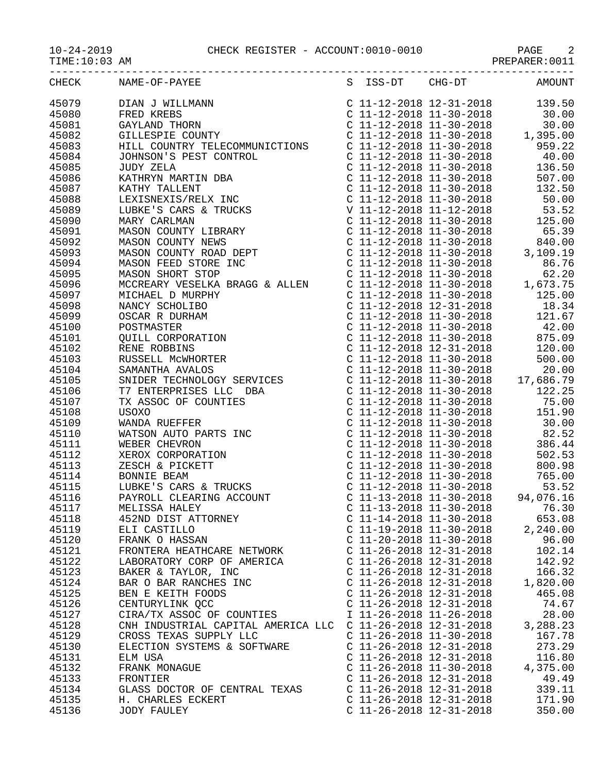|                                  | $\begin{array}{cccccc} 10-24-2019 & & & \text{CHECK REGISTER} & - & \text{ACCOUNT:0010-0010} & & & \text{PAGE} & 2 \\ \text{TIME:10:03 AM} & & & & & \text{PREPARENT:0011} & & & \end{array}$                                                                                                         |                                                                                       |                                       |
|----------------------------------|-------------------------------------------------------------------------------------------------------------------------------------------------------------------------------------------------------------------------------------------------------------------------------------------------------|---------------------------------------------------------------------------------------|---------------------------------------|
| CHECK                            |                                                                                                                                                                                                                                                                                                       |                                                                                       |                                       |
| 45079<br>45080<br>45081          | $\begin{tabular}{c c c c} \hline 10:53 & $MAB$ & $16000$ \\ \hline 10:53 & $1689$ & $11$-2018$ & $12$-12$-2318 & $16900W1$ \\ \hline 10:54 & $14$-2018$ & $11$-2018$ & $12$-218$ & $1000W1$ \\ \hline 10:54 & $160000$ & $11$-22018$ & $13$-2018$ & $10000W1$ \\ \hline 11:54 & $1000000$ & $11$-220$ |                                                                                       |                                       |
| 45082<br>45083<br>45084          |                                                                                                                                                                                                                                                                                                       |                                                                                       |                                       |
| 45085<br>45086<br>45087          |                                                                                                                                                                                                                                                                                                       |                                                                                       |                                       |
| 45088<br>45089<br>45090          |                                                                                                                                                                                                                                                                                                       |                                                                                       |                                       |
| 45091<br>45092<br>45093          |                                                                                                                                                                                                                                                                                                       |                                                                                       |                                       |
| 45094<br>45095<br>45096          |                                                                                                                                                                                                                                                                                                       |                                                                                       |                                       |
| 45097<br>45098<br>45099          |                                                                                                                                                                                                                                                                                                       |                                                                                       |                                       |
| 45100<br>45101<br>45102          |                                                                                                                                                                                                                                                                                                       |                                                                                       |                                       |
| 45103<br>45104<br>45105          |                                                                                                                                                                                                                                                                                                       |                                                                                       |                                       |
| 45106<br>45107<br>45108          |                                                                                                                                                                                                                                                                                                       |                                                                                       |                                       |
| 45109<br>45110<br>45111          |                                                                                                                                                                                                                                                                                                       |                                                                                       |                                       |
| 45112<br>45113<br>45114          |                                                                                                                                                                                                                                                                                                       |                                                                                       |                                       |
| 45115<br>45116<br>45117<br>45118 |                                                                                                                                                                                                                                                                                                       |                                                                                       | 53.52<br>94,076.16<br>76.30<br>653.08 |
| 45119<br>45120<br>45121          | BONNIE BEAM<br>LUBKE'S CARS & TRUCKS<br>PAYROLL CLEARING ACCOUNT<br>PAYROLL CLEARING ACCOUNT<br>C 11-12-2018 11-30-2018<br>C 11-13-2018 11-30-2018<br>MELISSA HALEY<br>C 11-13-2018 11-30-2018<br>C 11-14-2018 11-30-2018<br>ELI CASTILLO<br>ELI C                                                    |                                                                                       | 2,240.00<br>96.00<br>102.14           |
| 45122<br>45123<br>45124          |                                                                                                                                                                                                                                                                                                       | $C$ 11-26-2018 12-31-2018<br>C 11-26-2018 12-31-2018                                  | 142.92<br>166.32<br>1,820.00          |
| 45125<br>45126<br>45127          | EXERED AND CORP OF AMERICAL CORPORATIONS CORPORATIONS CORPORATIONS CORPORATION CORPORATION CORPORATION CONTRA<br>BAR O BAR RANCHES INC CORPORATION CORPORATION CORPORATION CORPORATION CORPORATION CORPORATION CORPORATION CORPO                                                                      | I 11-26-2018 11-26-2018                                                               | 465.08<br>74.67<br>28.00              |
| 45128<br>45129<br>45130          | CNH INDUSTRIAL CAPITAL AMERICA LLC C 11-26-2018 12-31-2018<br>CROSS TEXAS SUPPLY LLC<br>ELECTION SYSTEMS & SOFTWARE                                                                                                                                                                                   | C $11-26-2018$ $11-30-2018$<br>$C$ 11-26-2018 12-31-2018                              | 3,288.23<br>167.78<br>273.29          |
| 45131<br>45132<br>45133          | ELM USA<br>FRANK MONAGUE                                                                                                                                                                                                                                                                              | C $11-26-2018$ $12-31-2018$<br>$C$ 11-26-2018 11-30-2018<br>$C$ 11-26-2018 12-31-2018 | 116.80<br>4,375.00<br>49.49           |
| 45134<br>45135                   | FRONTIER<br>GLASS DOCTOR OF CENTRAL TEXAS<br>H. CHARLES ECKERT                                                                                                                                                                                                                                        | $C$ 11-26-2018 12-31-2018 339.11<br>$C$ 11-26-2018 12-31-2018                         | 171.90                                |

45136 JODY FAULEY C 11-26-2018 12-31-2018 350.00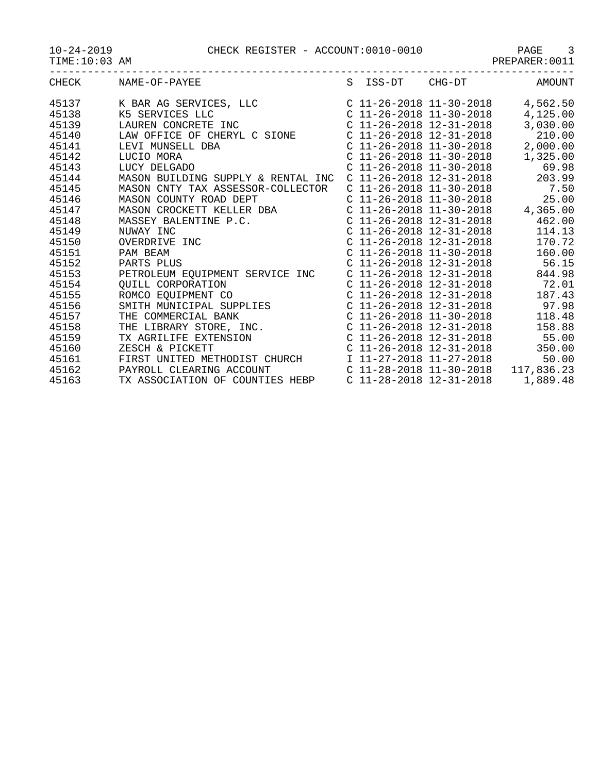10-24-2019 CHECK REGISTER - ACCOUNT:0010-0010 PAGE 3

| $10 - 24 - 2019$ |  |  |
|------------------|--|--|
|                  |  |  |

TIME:10:03 AM PREPARER:0011

| .     | __ _ _ _ _ _ _ _ _ _ _<br>____ |          | .      | $\sim$ $\sim$ $\sim$ $\sim$ $\sim$ |
|-------|--------------------------------|----------|--------|------------------------------------|
| CHECK | NAME-OF-PAYEE                  | S ISS-DT | CHG-DT | AMOUNT                             |
|       |                                |          |        |                                    |

| CHECK          | NAME-OF-PAYEE                                                                                                                                                                                                                              |  | S ISS-DT CHG-DT             | AMOUNT                       |
|----------------|--------------------------------------------------------------------------------------------------------------------------------------------------------------------------------------------------------------------------------------------|--|-----------------------------|------------------------------|
| 45137<br>45138 |                                                                                                                                                                                                                                            |  |                             |                              |
| 45139          |                                                                                                                                                                                                                                            |  |                             |                              |
| 45140          | LAW OFFICE OF CHERYL C SIONE C 11-26-2018 12-31-2018                                                                                                                                                                                       |  |                             | 210.00                       |
| 45141          | LEVI MUNSELL DBA<br>LUCIO MORA<br>LUCIO MORA<br>LUCY DELGADO<br>MASON DILITY CALLER CONTROL COMPTERING COMPTITY CONTROL CONTROL CONTROL DELGADO                                                                                            |  |                             | 2,000.00                     |
| 45142          |                                                                                                                                                                                                                                            |  |                             | 1,325.00                     |
| 45143          |                                                                                                                                                                                                                                            |  | C $11-26-2018$ $11-30-2018$ | 69.98                        |
| 45144          | MASON BUILDING SUPPLY & RENTAL INC $C$ 11-26-2018 12-31-2018 203.99                                                                                                                                                                        |  |                             |                              |
| 45145          | MASON CNTY TAX ASSESSOR-COLLECTOR                                                                                                                                                                                                          |  |                             | C 11-26-2018 11-30-2018 7.50 |
| 45146          |                                                                                                                                                                                                                                            |  |                             |                              |
| 45147          |                                                                                                                                                                                                                                            |  |                             |                              |
| 45148          | MASON CROCKETT KELLER DBA<br>MASSEY BALENTINE P.C.<br>NUWAY INC C 11-26-2018 12-31-2018 462.00<br>C 11-26-2018 12-31-2018 14.13<br>C 11-26-2018 12-31-2018 170.72<br>PAM BEAM C 11-26-2018 11-30-2018 160.00<br>PARTS PLUS C 11-26-2018 12 |  |                             |                              |
| 45149          |                                                                                                                                                                                                                                            |  |                             |                              |
| 45150          |                                                                                                                                                                                                                                            |  |                             |                              |
| 45151          |                                                                                                                                                                                                                                            |  |                             |                              |
| 45152          |                                                                                                                                                                                                                                            |  |                             |                              |
| 45153          | PETROLEUM EQUIPMENT SERVICE INC  C 11-26-2018 12-31-2018  844.98                                                                                                                                                                           |  |                             |                              |
| 45154          |                                                                                                                                                                                                                                            |  |                             |                              |
| 45155          |                                                                                                                                                                                                                                            |  |                             |                              |
| 45156          |                                                                                                                                                                                                                                            |  |                             |                              |
| 45157          |                                                                                                                                                                                                                                            |  |                             |                              |
| 45158          |                                                                                                                                                                                                                                            |  |                             |                              |
| 45159          | 2011<br>2011 CORPORATION CONSIDERED CONSULATION CONSULTER SOMEON CONSULATION CONSUMENT CO<br>2011 - 26 - 2018 12 - 31 - 2018<br>211 - 26 - 2018 12 - 31 - 2018<br>211 - 26 - 2018 12 - 31 - 2018<br>211 - 26 - 2018 12 - 31 - 2018<br>211  |  |                             |                              |
| 45160          | $C_11-26-2018_12-31-2018$ 350.00<br>ZESCH & PICKETT                                                                                                                                                                                        |  |                             |                              |
| 45161          | FIRST UNITED METHODIST CHURCH 11-27-2018 11-27-2018                                                                                                                                                                                        |  |                             | 50.00                        |
| 45162          | PAYROLL CLEARING ACCOUNT<br>TX ASSOCIATION OF COUNTIES HEBP<br>C 11-28-2018 12-31-2018 12.31-2018 1,889.48                                                                                                                                 |  |                             |                              |
| 45163          |                                                                                                                                                                                                                                            |  |                             | 1,889.48                     |